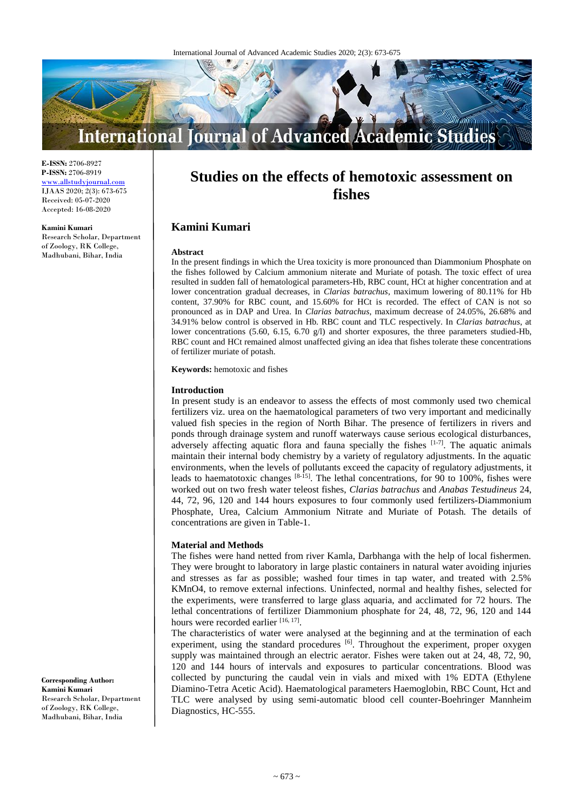

**E-ISSN:** 2706-8927 **P-ISSN:** 2706-8919 <www.allstudyjournal.com> IJAAS 2020; 2(3): 673-675 Received: 05-07-2020 Accepted: 16-08-2020

#### **Kamini Kumari**

Research Scholar, Department of Zoology, RK College, Madhubani, Bihar, India

# **Studies on the effects of hemotoxic assessment on fishes**

## **Kamini Kumari**

#### **Abstract**

In the present findings in which the Urea toxicity is more pronounced than Diammonium Phosphate on the fishes followed by Calcium ammonium niterate and Muriate of potash. The toxic effect of urea resulted in sudden fall of hematological parameters-Hb, RBC count, HCt at higher concentration and at lower concentration gradual decreases, in *Clarias batrachus*, maximum lowering of 80.11% for Hb content, 37.90% for RBC count, and 15.60% for HCt is recorded. The effect of CAN is not so pronounced as in DAP and Urea. In *Clarias batrachus*, maximum decrease of 24.05%, 26.68% and 34.91% below control is observed in Hb. RBC count and TLC respectively. In *Clarias batrachus*, at lower concentrations (5.60, 6.15, 6.70 g/l) and shorter exposures, the three parameters studied-Hb, RBC count and HCt remained almost unaffected giving an idea that fishes tolerate these concentrations of fertilizer muriate of potash.

**Keywords:** hemotoxic and fishes

#### **Introduction**

In present study is an endeavor to assess the effects of most commonly used two chemical fertilizers viz. urea on the haematological parameters of two very important and medicinally valued fish species in the region of North Bihar. The presence of fertilizers in rivers and ponds through drainage system and runoff waterways cause serious ecological disturbances, adversely affecting aquatic flora and fauna specially the fishes  $[1-7]$ . The aquatic animals maintain their internal body chemistry by a variety of regulatory adjustments. In the aquatic environments, when the levels of pollutants exceed the capacity of regulatory adjustments, it leads to haematotoxic changes  $[8-15]$ . The lethal concentrations, for 90 to 100%, fishes were worked out on two fresh water teleost fishes, *Clarias batrachus* and *Anabas Testudineus* 24, 44, 72, 96, 120 and 144 hours exposures to four commonly used fertilizers-Diammonium Phosphate, Urea, Calcium Ammonium Nitrate and Muriate of Potash. The details of concentrations are given in Table-1.

#### **Material and Methods**

The fishes were hand netted from river Kamla, Darbhanga with the help of local fishermen. They were brought to laboratory in large plastic containers in natural water avoiding injuries and stresses as far as possible; washed four times in tap water, and treated with 2.5% KMnO4, to remove external infections. Uninfected, normal and healthy fishes, selected for the experiments, were transferred to large glass aquaria, and acclimated for 72 hours. The lethal concentrations of fertilizer Diammonium phosphate for 24, 48, 72, 96, 120 and 144 hours were recorded earlier [16, 17].

The characteristics of water were analysed at the beginning and at the termination of each experiment, using the standard procedures <sup>[6]</sup>. Throughout the experiment, proper oxygen supply was maintained through an electric aerator. Fishes were taken out at 24, 48, 72, 90, 120 and 144 hours of intervals and exposures to particular concentrations. Blood was collected by puncturing the caudal vein in vials and mixed with 1% EDTA (Ethylene Diamino-Tetra Acetic Acid). Haematological parameters Haemoglobin, RBC Count, Hct and TLC were analysed by using semi-automatic blood cell counter-Boehringer Mannheim Diagnostics, HC-555.

## **Corresponding Author: Kamini Kumari** Research Scholar, Department

of Zoology, RK College, Madhubani, Bihar, India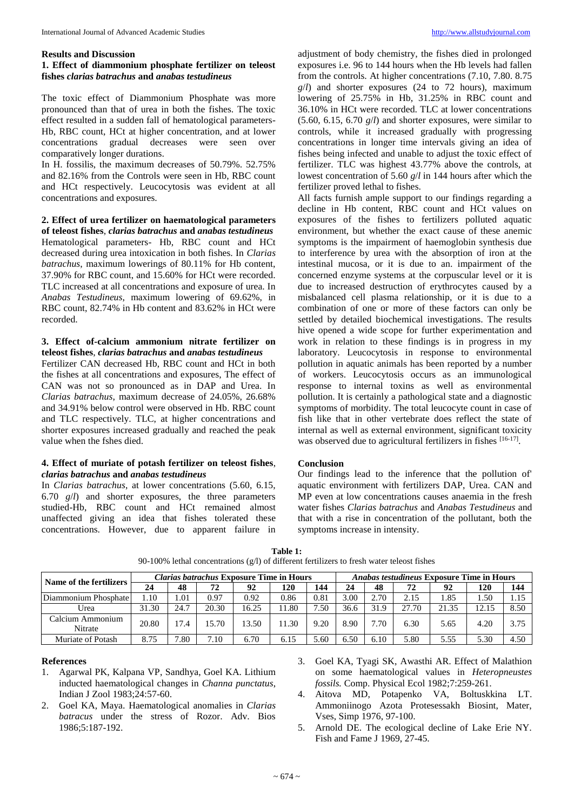## **Results and Discussion**

## **1. Effect of diammonium phosphate fertilizer on teleost fishes** *clarias batrachus* **and** *anabas testudineus*

The toxic effect of Diammonium Phosphate was more pronounced than that of urea in both the fishes. The toxic effect resulted in a sudden fall of hematological parameters-Hb, RBC count, HCt at higher concentration, and at lower concentrations gradual decreases were seen over comparatively longer durations.

In H. fossilis, the maximum decreases of 50.79%. 52.75% and 82.16% from the Controls were seen in Hb, RBC count and HCt respectively. Leucocytosis was evident at all concentrations and exposures.

**2. Effect of urea fertilizer on haematological parameters of teleost fishes**, *clarias batrachus* **and** *anabas testudineus* Hematological parameters- Hb, RBC count and HCt decreased during urea intoxication in both fishes. In *Clarias batrachus*, maximum lowerings of 80.11% for Hb content, 37.90% for RBC count, and 15.60% for HCt were recorded. TLC increased at all concentrations and exposure of urea. In *Anabas Testudineus*, maximum lowering of 69.62%, in RBC count, 82.74% in Hb content and 83.62% in HCt were recorded.

## **3. Effect of-calcium ammonium nitrate fertilizer on teleost fishes**, *clarias batrachus* **and** *anabas testudineus*

Fertilizer CAN decreased Hb, RBC count and HCt in both the fishes at all concentrations and exposures, The effect of CAN was not so pronounced as in DAP and Urea. In *Clarias batrachus*, maximum decrease of 24.05%, 26.68% and 34.91% below control were observed in Hb. RBC count and TLC respectively. TLC, at higher concentrations and shorter exposures increased gradually and reached the peak value when the fshes died.

#### **4. Effect of muriate of potash fertilizer on teleost fishes**, *clarias batrachus* **and** *anabas testudineus*

In *Clarias batrachus*, at lower concentrations (5.60, 6.15, 6.70 *g*/*l*) and shorter exposures, the three parameters studied-Hb, RBC count and HCt remained almost unaffected giving an idea that fishes tolerated these concentrations. However, due to apparent failure in

adjustment of body chemistry, the fishes died in prolonged exposures i.e. 96 to 144 hours when the Hb levels had fallen from the controls. At higher concentrations (7.10, 7.80. 8.75 *g*/*l*) and shorter exposures (24 to 72 hours), maximum lowering of 25.75% in Hb, 31.25% in RBC count and 36.10% in HCt were recorded. TLC at lower concentrations (5.60, 6.15, 6.70 *g*/*l*) and shorter exposures, were similar to controls, while it increased gradually with progressing concentrations in longer time intervals giving an idea of fishes being infected and unable to adjust the toxic effect of fertilizer. TLC was highest 43.77% above the controls, at lowest concentration of 5.60 *g*/*l* in 144 hours after which the fertilizer proved lethal to fishes.

All facts furnish ample support to our findings regarding a decline in Hb content, RBC count and HCt values on exposures of the fishes to fertilizers polluted aquatic environment, but whether the exact cause of these anemic symptoms is the impairment of haemoglobin synthesis due to interference by urea with the absorption of iron at the intestinal mucosa, or it is due to an. impairment of the concerned enzyme systems at the corpuscular level or it is due to increased destruction of erythrocytes caused by a misbalanced cell plasma relationship, or it is due to a combination of one or more of these factors can only be settled by detailed biochemical investigations. The results hive opened a wide scope for further experimentation and work in relation to these findings is in progress in my laboratory. Leucocytosis in response to environmental pollution in aquatic animals has been reported by a number of workers. Leucocytosis occurs as an immunological response to internal toxins as well as environmental pollution. It is certainly a pathological state and a diagnostic symptoms of morbidity. The total leucocyte count in case of fish like that in other vertebrate does reflect the state of internal as well as external environment, significant toxicity was observed due to agricultural fertilizers in fishes [16-17].

#### **Conclusion**

Our findings lead to the inference that the pollution of' aquatic environment with fertilizers DAP, Urea. CAN and MP even at low concentrations causes anaemia in the fresh water fishes *Clarias batrachus* and *Anabas Testudineus* and that with a rise in concentration of the pollutant, both the symptoms increase in intensity.

| Name of the fertilizers     | <i>Clarias batrachus</i> Exposure Time in Hours |      |       |       |      |      | <b>Anabas testudineus Exposure Time in Hours</b> |      |       |       |       |      |
|-----------------------------|-------------------------------------------------|------|-------|-------|------|------|--------------------------------------------------|------|-------|-------|-------|------|
|                             | 24                                              | 48   | 72    | 92    | 120  | 144  | 24                                               | 48   | 72    | 92    | 120   | 144  |
| Diammonium Phosphate        | .10                                             | .01  | 0.97  | 0.92  | 0.86 | 0.81 | 3.00                                             | 2.70 | 2.15  | .85   | . .50 | 1.15 |
| Urea                        | 31.30                                           | 24.7 | 20.30 | 16.25 | 1.80 | 7.50 | 36.6                                             | 31.9 | 27.70 | 21.35 | 12.15 | 8.50 |
| Calcium Ammonium<br>Nitrate | 20.80                                           | 17.4 | 15.70 | 13.50 | 1.30 | 9.20 | 8.90                                             | 7.70 | 6.30  | 5.65  | 4.20  | 3.75 |
| Muriate of Potash           | 8.75                                            | .80  | 7.10  | 6.70  | 6.15 | 5.60 | 6.50                                             | 6.10 | 5.80  | 5.55  | 5.30  | 4.50 |

| Table 1:                                                                                   |  |
|--------------------------------------------------------------------------------------------|--|
| 90-100% lethal concentrations (g/l) of different fertilizers to fresh water teleost fishes |  |

## **References**

- 1. Agarwal PK, Kalpana VP, Sandhya, Goel KA. Lithium inducted haematological changes in *Channa punctatus*, Indian J Zool 1983;24:57-60.
- 2. Goel KA, Maya. Haematological anomalies in *Clarias batracus* under the stress of Rozor. Adv. Bios 1986;5:187-192.
- 3. Goel KA, Tyagi SK, Awasthi AR. Effect of Malathion on some haematological values in *Heteropneustes fossils.* Comp. Physical Ecol 1982;7:259-261.
- 4. Aitova MD, Potapenko VA, Boltuskkina LT. Ammoniinogo Azota Protesessakh Biosint, Mater, Vses, Simp 1976, 97-100.
- 5. Arnold DE. The ecological decline of Lake Erie NY. Fish and Fame J 1969, 27-45.